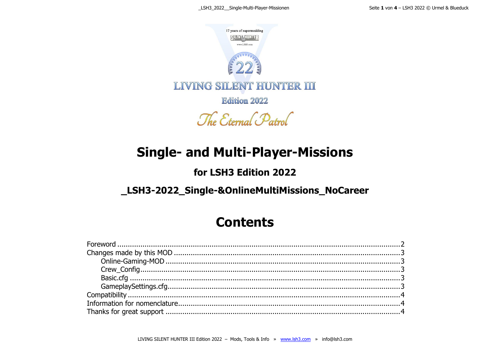

**Edition 2022** 

The Eternal Patrol

## **Single- and Multi-Player-Missions**

### for LSH3 Edition 2022

### \_LSH3-2022\_Single-&OnlineMultiMissions\_NoCareer

### **Contents**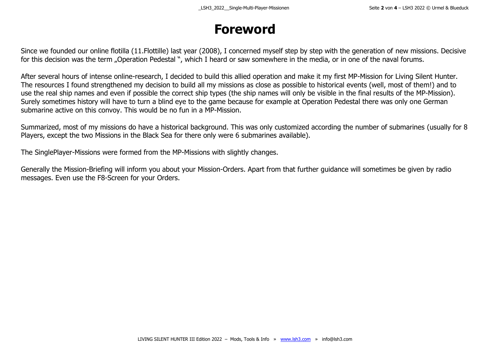## **Foreword**

<span id="page-1-0"></span>Since we founded our online flotilla (11.Flottille) last year (2008), I concerned myself step by step with the generation of new missions. Decisive for this decision was the term "Operation Pedestal ", which I heard or saw somewhere in the media, or in one of the naval forums.

After several hours of intense online-research, I decided to build this allied operation and make it my first MP-Mission for Living Silent Hunter. The resources I found strengthened my decision to build all my missions as close as possible to historical events (well, most of them!) and to use the real ship names and even if possible the correct ship types (the ship names will only be visible in the final results of the MP-Mission). Surely sometimes history will have to turn a blind eye to the game because for example at Operation Pedestal there was only one German submarine active on this convoy. This would be no fun in a MP-Mission.

Summarized, most of my missions do have a historical background. This was only customized according the number of submarines (usually for 8 Players, except the two Missions in the Black Sea for there only were 6 submarines available).

The SinglePlayer-Missions were formed from the MP-Missions with slightly changes.

Generally the Mission-Briefing will inform you about your Mission-Orders. Apart from that further guidance will sometimes be given by radio messages. Even use the F8-Screen for your Orders.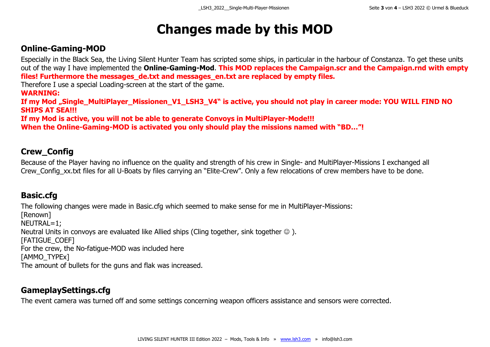### **Changes made by this MOD**

#### <span id="page-2-1"></span><span id="page-2-0"></span>**Online-Gaming-MOD**

Especially in the Black Sea, the Living Silent Hunter Team has scripted some ships, in particular in the harbour of Constanza. To get these units out of the way I have implemented the **Online-Gaming-Mod**. **This MOD replaces the Campaign.scr and the Campaign.rnd with empty files! Furthermore the messages\_de.txt and messages\_en.txt are replaced by empty files.**

Therefore I use a special Loading-screen at the start of the game.

**WARNING:**

If my Mod "Single\_MultiPlayer\_Missionen\_V1\_LSH3\_V4" is active, you should not play in career mode: YOU WILL FIND NO **SHIPS AT SEA!!!**

**If my Mod is active, you will not be able to generate Convoys in MultiPlayer-Mode!!!**

**When the Online-Gaming-MOD is activated you only should play the missions named with "BD…"!**

#### <span id="page-2-2"></span>**Crew\_Config**

Because of the Player having no influence on the quality and strength of his crew in Single- and MultiPlayer-Missions I exchanged all Crew Config xx.txt files for all U-Boats by files carrying an "Elite-Crew". Only a few relocations of crew members have to be done.

#### <span id="page-2-3"></span>**Basic.cfg**

The following changes were made in Basic.cfg which seemed to make sense for me in MultiPlayer-Missions: [Renown] NEUTRAL=1; Neutral Units in convoys are evaluated like Allied ships (Cling together, sink together  $\odot$  ). [FATIGUE\_COEF] For the crew, the No-fatigue-MOD was included here [AMMO\_TYPEx] The amount of bullets for the guns and flak was increased.

#### <span id="page-2-4"></span>**GameplaySettings.cfg**

The event camera was turned off and some settings concerning weapon officers assistance and sensors were corrected.